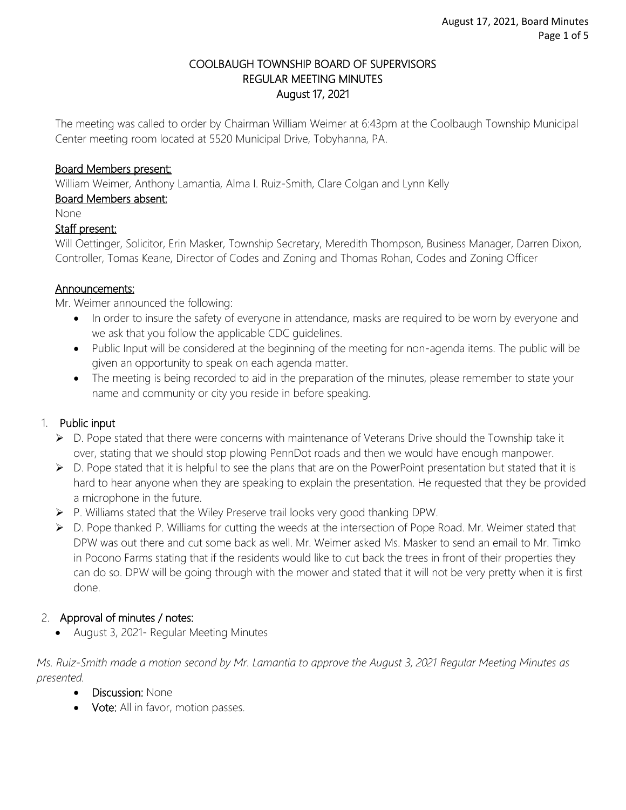### COOLBAUGH TOWNSHIP BOARD OF SUPERVISORS REGULAR MEETING MINUTES August 17, 2021

The meeting was called to order by Chairman William Weimer at 6:43pm at the Coolbaugh Township Municipal Center meeting room located at 5520 Municipal Drive, Tobyhanna, PA.

### Board Members present:

William Weimer, Anthony Lamantia, Alma I. Ruiz-Smith, Clare Colgan and Lynn Kelly

#### Board Members absent:

None

#### Staff present:

Will Oettinger, Solicitor, Erin Masker, Township Secretary, Meredith Thompson, Business Manager, Darren Dixon, Controller, Tomas Keane, Director of Codes and Zoning and Thomas Rohan, Codes and Zoning Officer

#### Announcements:

Mr. Weimer announced the following:

- In order to insure the safety of everyone in attendance, masks are required to be worn by everyone and we ask that you follow the applicable CDC guidelines.
- Public Input will be considered at the beginning of the meeting for non-agenda items. The public will be given an opportunity to speak on each agenda matter.
- The meeting is being recorded to aid in the preparation of the minutes, please remember to state your name and community or city you reside in before speaking.

### 1. Public input

- D. Pope stated that there were concerns with maintenance of Veterans Drive should the Township take it over, stating that we should stop plowing PennDot roads and then we would have enough manpower.
- $\triangleright$  D. Pope stated that it is helpful to see the plans that are on the PowerPoint presentation but stated that it is hard to hear anyone when they are speaking to explain the presentation. He requested that they be provided a microphone in the future.
- P. Williams stated that the Wiley Preserve trail looks very good thanking DPW.
- ▶ D. Pope thanked P. Williams for cutting the weeds at the intersection of Pope Road. Mr. Weimer stated that DPW was out there and cut some back as well. Mr. Weimer asked Ms. Masker to send an email to Mr. Timko in Pocono Farms stating that if the residents would like to cut back the trees in front of their properties they can do so. DPW will be going through with the mower and stated that it will not be very pretty when it is first done.

### 2. Approval of minutes / notes:

August 3, 2021- Regular Meeting Minutes

*Ms. Ruiz-Smith made a motion second by Mr. Lamantia to approve the August 3, 2021 Regular Meeting Minutes as presented.*

- Discussion: None
- Vote: All in favor, motion passes.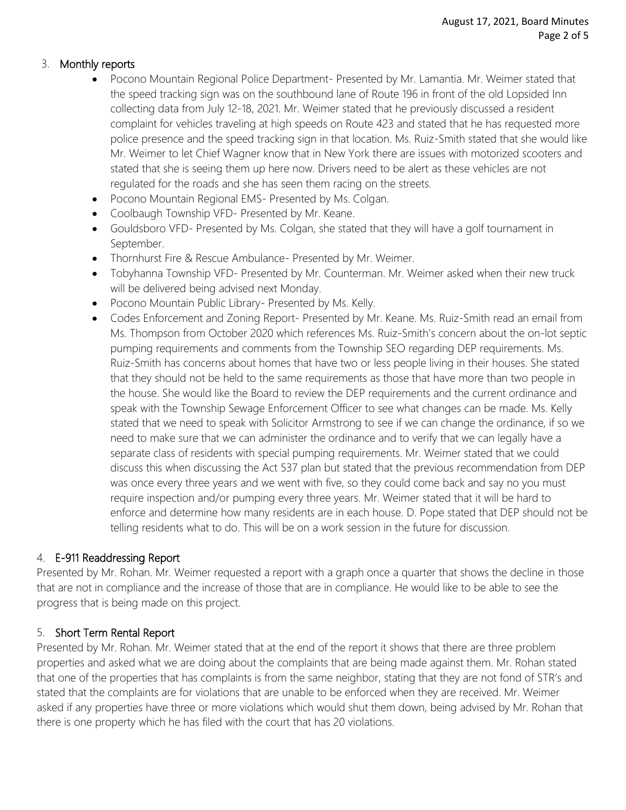### 3. Monthly reports

- Pocono Mountain Regional Police Department- Presented by Mr. Lamantia. Mr. Weimer stated that the speed tracking sign was on the southbound lane of Route 196 in front of the old Lopsided Inn collecting data from July 12-18, 2021. Mr. Weimer stated that he previously discussed a resident complaint for vehicles traveling at high speeds on Route 423 and stated that he has requested more police presence and the speed tracking sign in that location. Ms. Ruiz-Smith stated that she would like Mr. Weimer to let Chief Wagner know that in New York there are issues with motorized scooters and stated that she is seeing them up here now. Drivers need to be alert as these vehicles are not regulated for the roads and she has seen them racing on the streets.
- Pocono Mountain Regional EMS- Presented by Ms. Colgan.
- Coolbaugh Township VFD- Presented by Mr. Keane.
- Gouldsboro VFD- Presented by Ms. Colgan, she stated that they will have a golf tournament in September.
- Thornhurst Fire & Rescue Ambulance- Presented by Mr. Weimer.
- Tobyhanna Township VFD- Presented by Mr. Counterman. Mr. Weimer asked when their new truck will be delivered being advised next Monday.
- Pocono Mountain Public Library- Presented by Ms. Kelly.
- Codes Enforcement and Zoning Report- Presented by Mr. Keane. Ms. Ruiz-Smith read an email from Ms. Thompson from October 2020 which references Ms. Ruiz-Smith's concern about the on-lot septic pumping requirements and comments from the Township SEO regarding DEP requirements. Ms. Ruiz-Smith has concerns about homes that have two or less people living in their houses. She stated that they should not be held to the same requirements as those that have more than two people in the house. She would like the Board to review the DEP requirements and the current ordinance and speak with the Township Sewage Enforcement Officer to see what changes can be made. Ms. Kelly stated that we need to speak with Solicitor Armstrong to see if we can change the ordinance, if so we need to make sure that we can administer the ordinance and to verify that we can legally have a separate class of residents with special pumping requirements. Mr. Weimer stated that we could discuss this when discussing the Act 537 plan but stated that the previous recommendation from DEP was once every three years and we went with five, so they could come back and say no you must require inspection and/or pumping every three years. Mr. Weimer stated that it will be hard to enforce and determine how many residents are in each house. D. Pope stated that DEP should not be telling residents what to do. This will be on a work session in the future for discussion.

### 4. E-911 Readdressing Report

Presented by Mr. Rohan. Mr. Weimer requested a report with a graph once a quarter that shows the decline in those that are not in compliance and the increase of those that are in compliance. He would like to be able to see the progress that is being made on this project.

### 5. Short Term Rental Report

Presented by Mr. Rohan. Mr. Weimer stated that at the end of the report it shows that there are three problem properties and asked what we are doing about the complaints that are being made against them. Mr. Rohan stated that one of the properties that has complaints is from the same neighbor, stating that they are not fond of STR's and stated that the complaints are for violations that are unable to be enforced when they are received. Mr. Weimer asked if any properties have three or more violations which would shut them down, being advised by Mr. Rohan that there is one property which he has filed with the court that has 20 violations.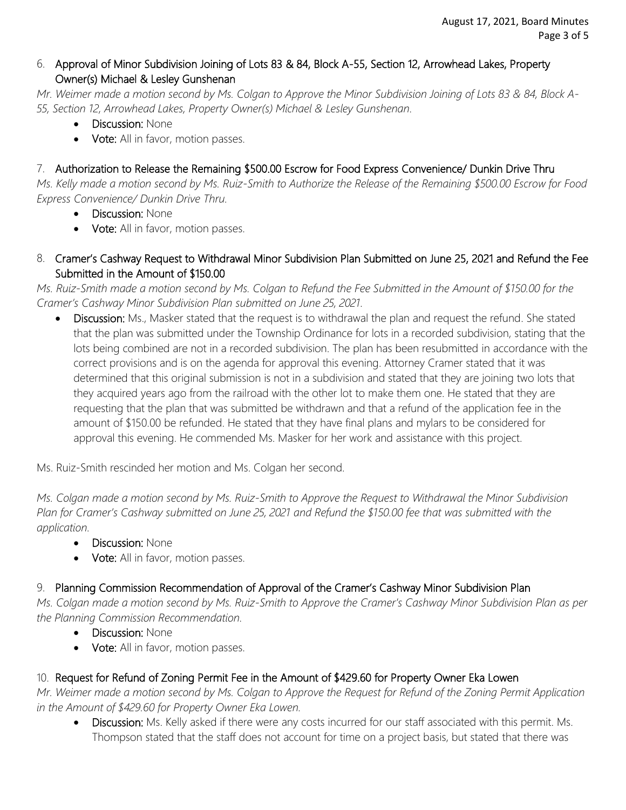## 6. Approval of Minor Subdivision Joining of Lots 83 & 84, Block A-55, Section 12, Arrowhead Lakes, Property Owner(s) Michael & Lesley Gunshenan

*Mr. Weimer made a motion second by Ms. Colgan to Approve the Minor Subdivision Joining of Lots 83 & 84, Block A-55, Section 12, Arrowhead Lakes, Property Owner(s) Michael & Lesley Gunshenan.*

- Discussion: None
- Vote: All in favor, motion passes.

# 7. Authorization to Release the Remaining \$500.00 Escrow for Food Express Convenience/ Dunkin Drive Thru

*Ms. Kelly made a motion second by Ms. Ruiz-Smith to Authorize the Release of the Remaining \$500.00 Escrow for Food Express Convenience/ Dunkin Drive Thru.*

- Discussion: None
- Vote: All in favor, motion passes.
- 8. Cramer's Cashway Request to Withdrawal Minor Subdivision Plan Submitted on June 25, 2021 and Refund the Fee Submitted in the Amount of \$150.00

*Ms. Ruiz-Smith made a motion second by Ms. Colgan to Refund the Fee Submitted in the Amount of \$150.00 for the Cramer's Cashway Minor Subdivision Plan submitted on June 25, 2021.* 

 Discussion: Ms., Masker stated that the request is to withdrawal the plan and request the refund. She stated that the plan was submitted under the Township Ordinance for lots in a recorded subdivision, stating that the lots being combined are not in a recorded subdivision. The plan has been resubmitted in accordance with the correct provisions and is on the agenda for approval this evening. Attorney Cramer stated that it was determined that this original submission is not in a subdivision and stated that they are joining two lots that they acquired years ago from the railroad with the other lot to make them one. He stated that they are requesting that the plan that was submitted be withdrawn and that a refund of the application fee in the amount of \$150.00 be refunded. He stated that they have final plans and mylars to be considered for approval this evening. He commended Ms. Masker for her work and assistance with this project.

Ms. Ruiz-Smith rescinded her motion and Ms. Colgan her second.

*Ms. Colgan made a motion second by Ms. Ruiz-Smith to Approve the Request to Withdrawal the Minor Subdivision Plan for Cramer's Cashway submitted on June 25, 2021 and Refund the \$150.00 fee that was submitted with the application.* 

- Discussion: None
- Vote: All in favor, motion passes.

# 9. Planning Commission Recommendation of Approval of the Cramer's Cashway Minor Subdivision Plan

*Ms. Colgan made a motion second by Ms. Ruiz-Smith to Approve the Cramer's Cashway Minor Subdivision Plan as per the Planning Commission Recommendation.*

- Discussion: None
- Vote: All in favor, motion passes.

# 10. Request for Refund of Zoning Permit Fee in the Amount of \$429.60 for Property Owner Eka Lowen

*Mr. Weimer made a motion second by Ms. Colgan to Approve the Request for Refund of the Zoning Permit Application in the Amount of \$429.60 for Property Owner Eka Lowen.* 

Discussion: Ms. Kelly asked if there were any costs incurred for our staff associated with this permit. Ms. Thompson stated that the staff does not account for time on a project basis, but stated that there was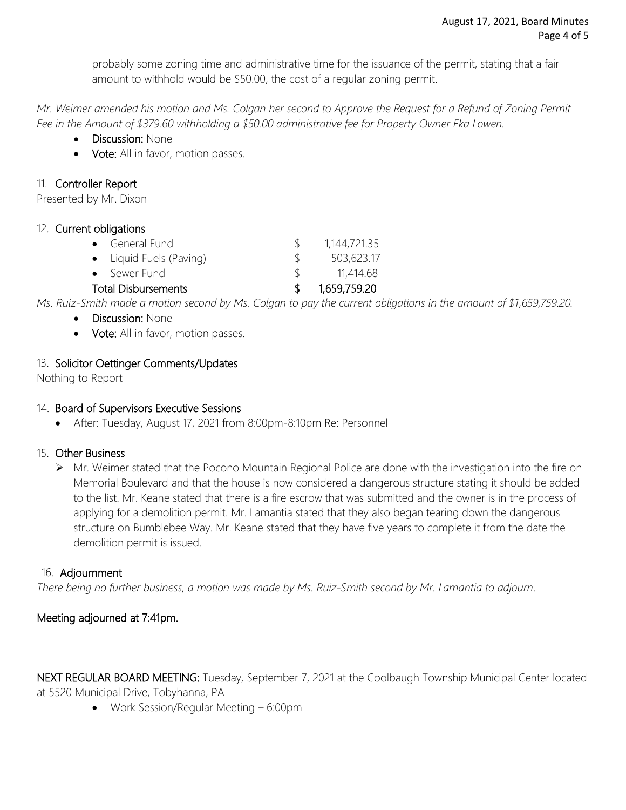probably some zoning time and administrative time for the issuance of the permit, stating that a fair amount to withhold would be \$50.00, the cost of a regular zoning permit.

*Mr. Weimer amended his motion and Ms. Colgan her second to Approve the Request for a Refund of Zoning Permit Fee in the Amount of \$379.60 withholding a \$50.00 administrative fee for Property Owner Eka Lowen.* 

- **Discussion: None**
- Vote: All in favor, motion passes.

### 11. Controller Report

Presented by Mr. Dixon

### 12. Current obligations

| • General Fund             |  | 1,144,721.35 |
|----------------------------|--|--------------|
| • Liquid Fuels (Paving)    |  | 503,623.17   |
| • Sewer Fund               |  | 11,414.68    |
| <b>Total Disbursements</b> |  | 1,659,759.20 |

*Ms. Ruiz-Smith made a motion second by Ms. Colgan to pay the current obligations in the amount of \$1,659,759.20.*

- Discussion: None
- Vote: All in favor, motion passes.

## 13. Solicitor Oettinger Comments/Updates

Nothing to Report

### 14. Board of Supervisors Executive Sessions

After: Tuesday, August 17, 2021 from 8:00pm-8:10pm Re: Personnel

### 15. Other Business

 Mr. Weimer stated that the Pocono Mountain Regional Police are done with the investigation into the fire on Memorial Boulevard and that the house is now considered a dangerous structure stating it should be added to the list. Mr. Keane stated that there is a fire escrow that was submitted and the owner is in the process of applying for a demolition permit. Mr. Lamantia stated that they also began tearing down the dangerous structure on Bumblebee Way. Mr. Keane stated that they have five years to complete it from the date the demolition permit is issued.

### 16. Adjournment

*There being no further business, a motion was made by Ms. Ruiz-Smith second by Mr. Lamantia to adjourn*.

## Meeting adjourned at 7:41pm.

NEXT REGULAR BOARD MEETING: Tuesday, September 7, 2021 at the Coolbaugh Township Municipal Center located at 5520 Municipal Drive, Tobyhanna, PA

Work Session/Regular Meeting – 6:00pm